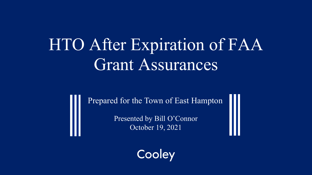# HTO After Expiration of FAA Grant Assurances

Prepared for the Town of East Hampton

Presented by Bill O'Connor October 19, 2021

Cooley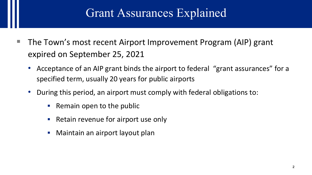#### Grant Assurances Explained

- $\blacksquare$  The Town's most recent Airport Improvement Program (AIP) grant expired on September 25, 2021
	- Acceptance of an AIP grant binds the airport to federal "grant assurances" for a specified term, usually 20 years for public airports
	- During this period, an airport must comply with federal obligations to:
		- $\blacksquare$  Remain open to the public
		- **Retain revenue for airport use only**
		- **Maintain an airport layout plan**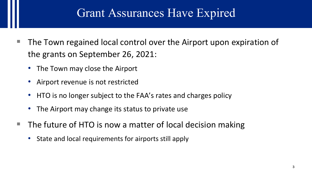#### Grant Assurances Have Expired

- The Town regained local control over the Airport upon expiration of the grants on September 26, 2021:
	- The Town may close the Airport
	- Airport revenue is not restricted
	- HTO is no longer subject to the FAA's rates and charges policy
	- The Airport may change its status to private use
- The future of HTO is now a matter of local decision making
	- State and local requirements for airports still apply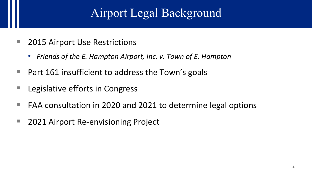# Airport Legal Background

- 2015 Airport Use Restrictions
	- *Friends of the E. Hampton Airport, Inc. v. Town of E. Hampton*
- $\blacksquare$  Part 161 insufficient to address the Town's goals
- Legislative efforts in Congress
- $\blacksquare$  FAA consultation in 2020 and 2021 to determine legal options
- 2021 Airport Re-envisioning Project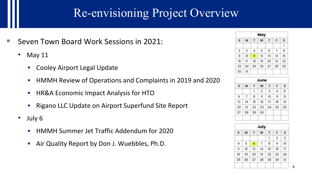#### Re-envisioning Project Overview

- Seven Town Board Work Sessions in 2021:
	- May 11
		- Cooley Airport Legal Update
		- **HMMH Review of Operations and Complaints in 2019 and 2020**
		- **HR&A Economic Impact Analysis for HTO**
		- **Rigano LLC Update on Airport Superfund Site Report**
	- July 6
		- **HMMH Summer Jet Traffic Addendum for 2020**
		- Air Quality Report by Don J. Wuebbles, Ph.D.

| May                     |               |              |       |             |    |          |  |  |  |
|-------------------------|---------------|--------------|-------|-------------|----|----------|--|--|--|
| s                       | м             | Œ.           | w     | T.          |    | s        |  |  |  |
|                         |               |              |       |             |    |          |  |  |  |
| $\overline{\mathbf{2}}$ |               | 4            |       | $5 \quad 6$ |    | <b>B</b> |  |  |  |
| 9                       | 10            | $\mathbf{u}$ |       |             | 14 | 15       |  |  |  |
| $16 -$                  | 17            | 18           | -19   | 20          | 21 | 22       |  |  |  |
|                         | $23 \quad 24$ |              | 25 26 | 27          | 28 | 29       |  |  |  |
| 30                      | 31            |              |       |             |    |          |  |  |  |

|    |    |    | June |    |    |    |
|----|----|----|------|----|----|----|
| s  | м  |    | w    | т  |    | s  |
|    |    | 1  | 2    | 3  | 4  | 5  |
| 6  | 7  | 8  | 9    | 10 | π  | 12 |
| 13 | 14 | 15 | 16   | 17 | 18 | 19 |
| 20 | 21 | 22 | 23   | 24 | 25 | 26 |
| 27 | 28 | 29 | 30   |    |    |    |
|    |    |    | July |    |    |    |
| s  | м  |    | w    |    | F  | s  |

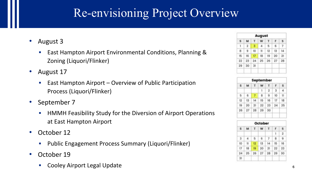#### Re-envisioning Project Overview

- August 3
	- East Hampton Airport Environmental Conditions, Planning & Zoning (Liquori/Flinker)
- August 17
	- **East Hampton Airport Overview of Public Participation** Process (Liquori/Flinker)
- September 7
	- **HMMH Feasibility Study for the Diversion of Airport Operations** at East Hampton Airport
- October 12
	- **•** Public Engagement Process Summary (Liquori/Flinker)
- October 19
	- Cooley Airport Legal Update <sup>6</sup>

|    |                |    | <b>August</b>  |                |    |    |
|----|----------------|----|----------------|----------------|----|----|
| s  | M              | T  | W              | T              | F  | ŝ  |
| 1  | $\overline{2}$ | 3  | 4              | 5              | 6  | 7  |
| 8  | 9              | 10 | 11             | 12             | 13 | 14 |
| 15 | 16             | 17 | 18             | 19             | 20 | 21 |
| 22 | 23             | 24 | 25             | 26             | 27 | 28 |
| 29 | 30             | 31 |                |                |    |    |
|    |                |    |                | September      |    |    |
| s  | M              | т  | w              | т              | F  | s  |
|    |                |    | ı              | $\overline{2}$ | 3  | 4  |
| 5  | 6              | 7  | 8              | 9              | 10 | Ħ  |
| 12 | 13             | 14 | 15             | 16             | 17 | 18 |
| 19 | 20             | 21 | 22             | 23             | 24 | 25 |
| 26 | 27             | 28 | 29             | 30             |    |    |
|    |                |    | <b>October</b> |                |    |    |
| s  | M              | т  | w              | T              | F  | s  |
|    |                |    |                |                | ī  | 2  |
| 3  | 4              | 5  | 6              | $\overline{z}$ | 8  | 9  |
| 10 | $\mathbf{1}$   | 12 | 13             | 14             | 15 | 16 |
| 17 | 18             | 19 | 20             | 21             | 22 | 23 |
| 24 | 25             | 26 | 27             | 28             | 29 | 30 |
| 31 |                |    |                |                |    |    |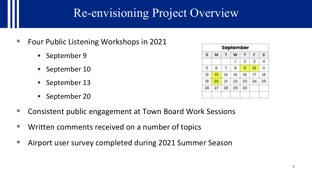#### Re-envisioning Project Overview

- Four Public Listening Workshops in 2021
	- September 9
	- September 10
	- **September 13**
	- **September 20**

| s  | M  | т  | w  | т              | F  | Ś. |
|----|----|----|----|----------------|----|----|
|    |    |    | 1  | $\overline{2}$ | 3  | 4  |
| 5  | 6  | 7  | 8  | 9              | 10 | 11 |
| 12 | 13 | 14 | 15 | 16             | 17 | 18 |
| 19 | 20 | 21 | 22 | 23             | 24 | 25 |
| 26 | 27 | 28 | 29 | 30             |    |    |

- Consistent public engagement at Town Board Work Sessions
- Written comments received on a number of topics
- Airport user survey completed during 2021 Summer Season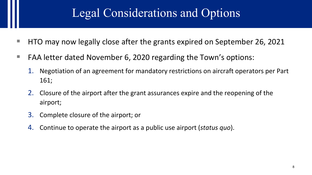### Legal Considerations and Options

- $\blacksquare$  HTO may now legally close after the grants expired on September 26, 2021
- FAA letter dated November 6, 2020 regarding the Town's options:
	- 1. Negotiation of an agreement for mandatory restrictions on aircraft operators per Part 161;
	- 2. Closure of the airport after the grant assurances expire and the reopening of the airport;
	- 3. Complete closure of the airport; or
	- 4. Continue to operate the airport as a public use airport (*status quo*).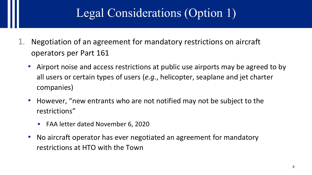# Legal Considerations (Option 1)

- 1. Negotiation of an agreement for mandatory restrictions on aircraft operators per Part 161
	- Airport noise and access restrictions at public use airports may be agreed to by all users or certain types of users (*e.g.*, helicopter, seaplane and jet charter companies)
	- However, "new entrants who are not notified may not be subject to the restrictions"
		- FAA letter dated November 6, 2020
	- No aircraft operator has ever negotiated an agreement for mandatory restrictions at HTO with the Town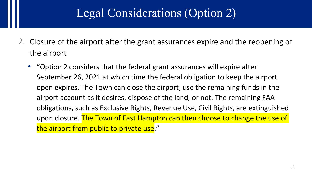#### Legal Considerations (Option 2)

- 2. Closure of the airport after the grant assurances expire and the reopening of the airport
	- "Option 2 considers that the federal grant assurances will expire after September 26, 2021 at which time the federal obligation to keep the airport open expires. The Town can close the airport, use the remaining funds in the airport account as it desires, dispose of the land, or not. The remaining FAA obligations, such as Exclusive Rights, Revenue Use, Civil Rights, are extinguished upon closure. The Town of East Hampton can then choose to change the use of the airport from public to private use."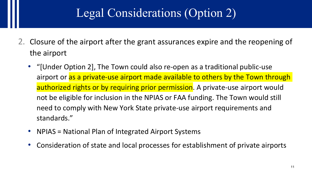## Legal Considerations (Option 2)

- 2. Closure of the airport after the grant assurances expire and the reopening of the airport
	- "[Under Option 2], The Town could also re-open as a traditional public-use airport or as a private-use airport made available to others by the Town through authorized rights or by requiring prior permission. A private-use airport would not be eligible for inclusion in the NPIAS or FAA funding. The Town would still need to comply with New York State private-use airport requirements and standards."
	- NPIAS = National Plan of Integrated Airport Systems
	- Consideration of state and local processes for establishment of private airports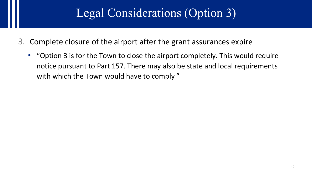### Legal Considerations (Option 3)

- 3. Complete closure of the airport after the grant assurances expire
	- "Option 3 is for the Town to close the airport completely. This would require notice pursuant to Part 157. There may also be state and local requirements with which the Town would have to comply"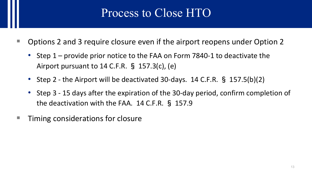### Process to Close HTO

- Options 2 and 3 require closure even if the airport reopens under Option 2
	- Step 1 provide prior notice to the FAA on Form 7840-1 to deactivate the Airport pursuant to 14 C.F.R. § 157.3(c), (e)
	- Step 2 the Airport will be deactivated 30-days. 14 C.F.R. § 157.5(b)(2)
	- Step 3 15 days after the expiration of the 30-day period, confirm completion of the deactivation with the FAA. 14 C.F.R. § 157.9
- Timing considerations for closure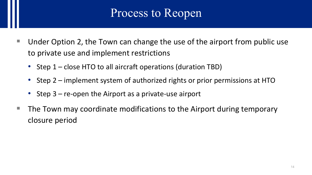#### Process to Reopen

- Under Option 2, the Town can change the use of the airport from public use to private use and implement restrictions
	- Step 1 close HTO to all aircraft operations (duration TBD)
	- Step 2 implement system of authorized rights or prior permissions at HTO
	- Step 3 re-open the Airport as a private-use airport
- The Town may coordinate modifications to the Airport during temporary closure period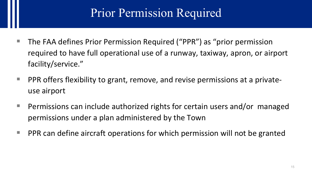#### Prior Permission Required

- The FAA defines Prior Permission Required ("PPR") as "prior permission required to have full operational use of a runway, taxiway, apron, or airport facility/service."
- $\blacksquare$  PPR offers flexibility to grant, remove, and revise permissions at a privateuse airport
- **Permissions can include authorized rights for certain users and/or managed** permissions under a plan administered by the Town
- $\blacksquare$  PPR can define aircraft operations for which permission will not be granted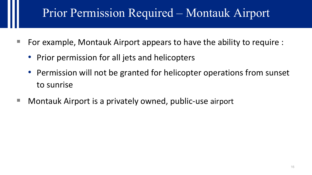## Prior Permission Required – Montauk Airport

- For example, Montauk Airport appears to have the ability to require :
	- Prior permission for all jets and helicopters
	- Permission will not be granted for helicopter operations from sunset to sunrise
- Montauk Airport is a privately owned, public-use airport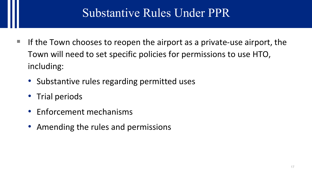### Substantive Rules Under PPR

- $\blacksquare$  If the Town chooses to reopen the airport as a private-use airport, the Town will need to set specific policies for permissions to use HTO, including:
	- Substantive rules regarding permitted uses
	- Trial periods
	- Enforcement mechanisms
	- Amending the rules and permissions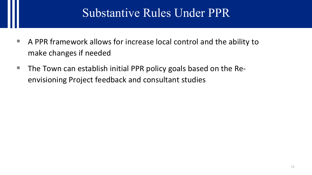#### Substantive Rules Under PPR

- A PPR framework allows for increase local control and the ability to make changes if needed
- $\blacksquare$  The Town can establish initial PPR policy goals based on the Reenvisioning Project feedback and consultant studies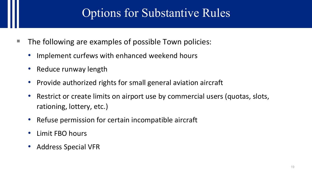### Options for Substantive Rules

- The following are examples of possible Town policies:
	- Implement curfews with enhanced weekend hours
	- Reduce runway length
	- Provide authorized rights for small general aviation aircraft
	- Restrict or create limits on airport use by commercial users (quotas, slots, rationing, lottery, etc.)
	- Refuse permission for certain incompatible aircraft
	- Limit FBO hours
	- Address Special VFR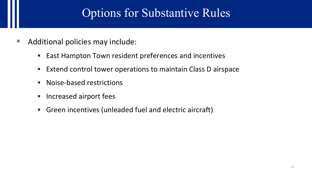#### Options for Substantive Rules

- Additional policies may include:
	- **East Hampton Town resident preferences and incentives**
	- **Extend control tower operations to maintain Class D airspace**
	- Noise-based restrictions
	- **Increased airport fees**
	- Green incentives (unleaded fuel and electric aircraft)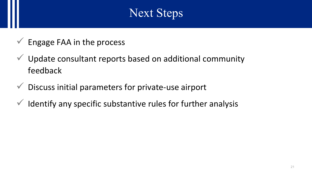### Next Steps

- Engage FAA in the process
- $\checkmark$  Update consultant reports based on additional community feedback
- $\checkmark$  Discuss initial parameters for private-use airport
- $\checkmark$  Identify any specific substantive rules for further analysis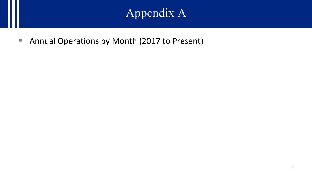# Appendix A

■ Annual Operations by Month (2017 to Present)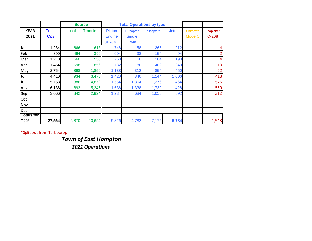|                   |              |       | <b>Source</b> |               |               | <b>Total Operations by type</b> |             |                |           |
|-------------------|--------------|-------|---------------|---------------|---------------|---------------------------------|-------------|----------------|-----------|
| <b>YEAR</b>       | <b>Total</b> | Local | Transient     | <b>Piston</b> | Turboprop     | <b>Helicopters</b>              | <b>Jets</b> | <b>Unknown</b> | Seaplane* |
| 2021              | <b>Ops</b>   |       |               | <b>Engine</b> | <b>Single</b> |                                 |             | Mode C         | $C-208$   |
|                   |              |       |               | SE & ME       | <b>Twin</b>   |                                 |             |                |           |
| Jan               | 1,284        | 666   | 618           | 748           | 58            | 266                             | 212         |                |           |
| Feb               | 890          | 494   | 396           | 604           | 38            | 154                             | 94          |                |           |
| Mar               | 1,210        | 660   | 550           | 760           | 68            | 184                             | 198         |                | 4         |
| Apr               | 1,454        | 598   | 856           | 732           | 80            | 402                             | 240         |                | 10        |
| May               | 2,754        | 898   | 1,856         | 1,138         | 312           | 854                             | 450         |                | 62        |
| Jun               | 4,410        | 934   | 3,476         | 1,420         | 840           | 1,144                           | 1,006       |                | 418       |
| Jul               | 5,758        | 886   | 4,872         | 1,554         | 1,364         | 1,376                           | 1,464       |                | 576       |
| Aug               | 6,138        | 892   | 5,246         | 1,636         | 1,338         | 1,739                           | 1,428       |                | 560       |
| Sep               | 3,666        | 842   | 2,824         | 1,234         | 684           | 1,056                           | 692         |                | 312       |
| Oct               |              |       |               |               |               |                                 |             |                |           |
| Nov               |              |       |               |               |               |                                 |             |                |           |
| Dec               |              |       |               |               |               |                                 |             |                |           |
| <b>Totals for</b> |              |       |               |               |               |                                 |             |                |           |
| Year              | 27,564       | 6,870 | 20,694        | 9,826         | 4,782         | 7,175                           | 5,784       |                | 1,948     |

*Town of East Hampton 2021 Operations*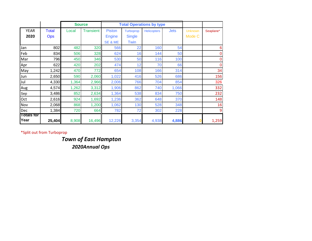|                   |              |       | <b>Source</b> |               |               | <b>Total Operations by type</b> |             |                |                |
|-------------------|--------------|-------|---------------|---------------|---------------|---------------------------------|-------------|----------------|----------------|
| <b>YEAR</b>       | <b>Total</b> | Local | Transient     | <b>Piston</b> | Turboprop     | Helicopters                     | <b>Jets</b> | <b>Unknown</b> | Seaplane*      |
| 2020              | <b>Ops</b>   |       |               | <b>Engine</b> | <b>Single</b> |                                 |             | Mode C         |                |
|                   |              |       |               | SE & ME       | Twin          |                                 |             |                |                |
| Jan               | 802          | 482   | 320           | 566           | 22            | 160                             | 54          |                | 6              |
| Feb               | 834          | 506   | 328           | 624           | 16            | 144                             | 50          |                | $\mathbf 0$    |
| Mar               | 796          | 450   | 346           | 530           | 50            | 116                             | 100         |                | $\mathbf 0$    |
| Apr               | 622          | 420   | 202           | 474           | 12            | 70                              | 66          |                | $\overline{0}$ |
| May               | 1,242        | 470   | 772           | 654           | 108           | 166                             | 314         |                | 34             |
| Jun               | 2,650        | 590   | 2,060         | 1,022         | 416           | 526                             | 686         |                | 156            |
| Jul               | 4,330        | 1,364 | 2,966         | 2,006         | 766           | 704                             | 854         |                | 326            |
| Aug               | 4,574        | 1,262 | 3,312         | 1,906         | 862           | 740                             | 1,066       |                | 332            |
| Sep               | 3,486        | 852   | 2,634         | 1,364         | 538           | 834                             | 750         |                | 232            |
| Oct               | 2,616        | 924   | 1,692         | 1,236         | 362           | 648                             | 370         |                | 148            |
| Nov               | 2,068        | 868   | 1,200         | 1,062         | 130           | 528                             | 348         |                | 16             |
| Dec               | 1,384        | 720   | 664           | 782           | 72            | 302                             | 228         |                | 9              |
| <b>Totals for</b> |              |       |               |               |               |                                 |             |                |                |
| Year              | 25,404       | 8,908 | 16,496        | 12,226        | 3,354         | 4,938                           | 4,886       |                | 1,259          |

*Town of East Hampton 2020Annual Ops*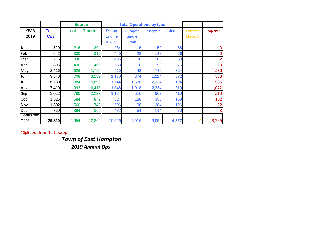|                   |            |       | <b>Source</b> |               |               | <b>Total Operations by type</b> |             |                |                  |
|-------------------|------------|-------|---------------|---------------|---------------|---------------------------------|-------------|----------------|------------------|
| <b>YEAR</b>       | Total      | Local | Transient     | <b>Piston</b> | Turboprop     | <b>Helicopters</b>              | <b>Jets</b> | <b>Unknown</b> | Seaplane*        |
| 2019              | <b>Ops</b> |       |               | <b>Engine</b> | <b>Single</b> |                                 |             | Mode C         |                  |
|                   |            |       |               | SE & ME       | Twin          |                                 |             |                |                  |
| Jan               | 520        | 216   | 304           | 284           | 16            | 152                             | 68          |                | 0                |
| Feb               | 642        | 330   | 312           | 440           | 28            | 148                             | 26          |                | $\overline{0}$   |
| Mar               | 716        | 340   | 376           | 436           | 36            | 186                             | 58          |                | $\overline{2}$   |
| Apr               | 896        | 430   | 466           | 568           | 60            | 192                             | 76          |                | 20               |
| May               | 2,416      | 626   | 1,790         | 910           | 442           | 740                             | 324         |                | 236              |
| Jun               | 3,840      | 708   | 3,132         | 1,170         | 874           | 1,224                           | 572         |                | 538              |
| Jul               | 6,780      | 884   | 5,896         | 1,744         | 1,678         | 2,234                           | 1,124       |                | 986              |
| Aug               | 7,410      | 992   | 6,418         | 1,848         | 1,918         | 2,334                           | 1,310       |                | 1,072            |
| Sep               | 3,012      | 790   | 2,222         | 1,124         | 516           | 962                             | 410         |                | 310              |
| Oct               | 1,526      | 684   | 842           | 824           | 188           | 356                             | 158         |                | 102              |
| Nov               | 1,302      | 560   | 742           | 696           | 96            | 384                             | 126         |                | 22               |
| Dec               | 760        | 394   | 366           | 482           | 64            | 144                             | 70          |                | $\boldsymbol{8}$ |
| <b>Totals for</b> |            |       |               |               |               |                                 |             |                |                  |
| Year              | 29,820     | 6,954 | 22,866        | 10,526        | 5,916         | 9,056                           | 4,322       |                | 3,296            |

*Town of East Hampton 2019 Annual Ops*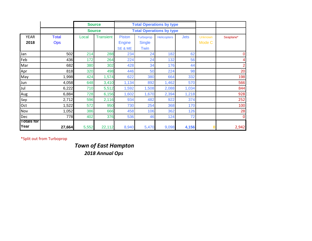|                           |            |               | <b>Source</b><br><b>Total Operations by type</b> |               |                                 |                    |             |                |                |
|---------------------------|------------|---------------|--------------------------------------------------|---------------|---------------------------------|--------------------|-------------|----------------|----------------|
|                           |            | <b>Source</b> |                                                  |               | <b>Total Operations by type</b> |                    |             |                |                |
| <b>YEAR</b>               | Total      | Local         | <b>Transient</b>                                 | <b>Piston</b> | Turboprop                       | <b>Helicopters</b> | <b>Jets</b> | <b>Unknown</b> | Seaplane*      |
| 2018                      | <b>Ops</b> |               |                                                  | <b>Engine</b> | <b>Single</b>                   |                    |             | Mode C         |                |
|                           |            |               |                                                  | SE & ME       | Twin                            |                    |             |                |                |
| Jan                       | 502        | 214           | 288                                              | 234           | 24                              | 182                | 62          |                | $\mathbf{O}$   |
| Feb                       | 436        | 172           | 264                                              | 224           | 24                              | 132                | 56          |                | 4              |
| Mar                       | 682        | 380           | 302                                              | 428           | 34                              | 176                | 44          |                | $\overline{2}$ |
| Apr                       | 818        | 320           | 498                                              | 446           | 50                              | 224                | 98          |                | 20             |
| May                       | 1,998      | 424           | 1,574                                            | 622           | 380                             | 664                | 332         |                | 198            |
| Jun                       | 4,058      | 648           | 3,410                                            | 1,134         | 892                             | 1,462              | 570         |                | 566            |
| Jul                       | 6,222      | 710           | 5,512                                            | 1,592         | 1,508                           | 2,088              | 1,034       |                | 844            |
| Aug                       | 6,884      | 728           | 6,156                                            | 1,602         | 1,670                           | 2,394              | 1,218       |                | 928            |
| Sep                       | 2,712      | 596           | 2,116                                            | 934           | 482                             | 922                | 374         |                | 252            |
| Oct                       | 1,522      | 572           | 950                                              | 730           | 254                             | 368                | 170         |                | 100            |
| Nov                       | 1,052      | 386           | 666                                              | 458           | 106                             | 362                | 126         |                | 28             |
| Dec                       | 778        | 402           | 376                                              | 536           | 46                              | 124                | 72          |                | $\mathbf 0$    |
| <b>Totals for</b><br>Year | 27,664     | 5,552         | 22,112                                           | 8,940         | 5,470                           | 9,098              | 4,156       |                | 2,942          |

*Town of East Hampton 2018 Annual Ops*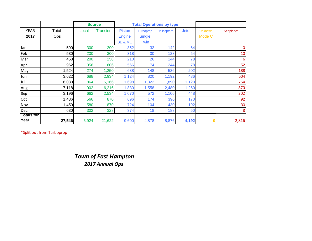|                   |        |       | <b>Source</b>    |               | <b>Total Operations by type</b> |                    |             |                |           |
|-------------------|--------|-------|------------------|---------------|---------------------------------|--------------------|-------------|----------------|-----------|
| <b>YEAR</b>       | Total  | Local | <b>Transient</b> | <b>Piston</b> | Turboprop                       | <b>Helicopters</b> | <b>Jets</b> | <b>Unknown</b> | Seaplane* |
| 2017              | Ops    |       |                  | <b>Engine</b> | <b>Single</b>                   |                    |             | Mode C         |           |
|                   |        |       |                  | SE & ME       | Twin                            |                    |             |                |           |
| Jan               | 590    | 300   | 290              | 352           | 32                              | 142                | 64          |                | 0         |
| Feb               | 530    | 230   | 300              | 318           | 30                              | 128                | 54          |                | 10        |
| Mar               | 458    | 200   | 258              | 210           | 26                              | 144                | 78          |                | 6         |
| Apr               | 962    | 356   | 606              | 566           | 74                              | 244                | 78          |                | 52        |
| May               | 1,524  | 274   | 1,250            | 638           | 148                             | 536                | 202         |                | 188       |
| Jun               | 3,622  | 688   | 2,934            | 1,124         | 820                             | 1,192              | 486         |                | 504       |
| Jul               | 6,030  | 864   | 5,166            | 1,698         | 1,322                           | 1,890              | 1,120       |                | 754       |
| Aug               | 7,118  | 902   | 6,216            | 1,830         | 1,558                           | 2,480              | 1,250       |                | 870       |
| Sep               | 3,196  | 662   | 2,534            | 1,070         | 572                             | 1,106              | 448         |                | 302       |
| Oct               | 1,436  | 566   | 870              | 696           | 174                             | 396                | 170         |                | 92        |
| Nov               | 1,450  | 580   | 870              | 724           | 104                             | 430                | 192         |                | 30        |
| Dec               | 630    | 302   | 328              | 374           | 18                              | 188                | 50          |                | 8         |
| <b>Totals for</b> |        |       |                  |               |                                 |                    |             |                |           |
| Year              | 27,546 | 5,924 | 21,622           | 9,600         | 4,878                           | 8,876              | 4,192       |                | 2,816     |

#### *Town of East Hampton 2017 Annual Ops*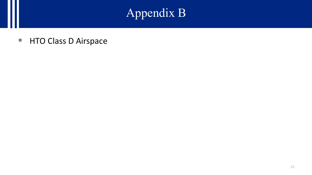# Appendix B

■ HTO Class D Airspace